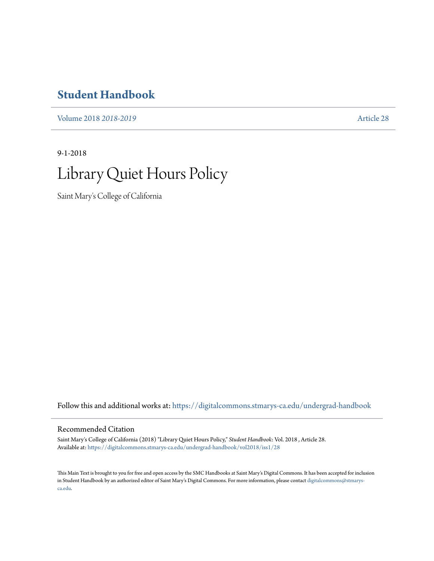## **[Student Handbook](https://digitalcommons.stmarys-ca.edu/undergrad-handbook?utm_source=digitalcommons.stmarys-ca.edu%2Fundergrad-handbook%2Fvol2018%2Fiss1%2F28&utm_medium=PDF&utm_campaign=PDFCoverPages)**

[Volume 2018](https://digitalcommons.stmarys-ca.edu/undergrad-handbook/vol2018?utm_source=digitalcommons.stmarys-ca.edu%2Fundergrad-handbook%2Fvol2018%2Fiss1%2F28&utm_medium=PDF&utm_campaign=PDFCoverPages) *2018-2019* [Article 28](https://digitalcommons.stmarys-ca.edu/undergrad-handbook/vol2018/iss1/28?utm_source=digitalcommons.stmarys-ca.edu%2Fundergrad-handbook%2Fvol2018%2Fiss1%2F28&utm_medium=PDF&utm_campaign=PDFCoverPages)

9-1-2018

## Library Quiet Hours Policy

Saint Mary's College of California

Follow this and additional works at: [https://digitalcommons.stmarys-ca.edu/undergrad-handbook](https://digitalcommons.stmarys-ca.edu/undergrad-handbook?utm_source=digitalcommons.stmarys-ca.edu%2Fundergrad-handbook%2Fvol2018%2Fiss1%2F28&utm_medium=PDF&utm_campaign=PDFCoverPages)

## Recommended Citation

Saint Mary's College of California (2018) "Library Quiet Hours Policy," *Student Handbook*: Vol. 2018 , Article 28. Available at: [https://digitalcommons.stmarys-ca.edu/undergrad-handbook/vol2018/iss1/28](https://digitalcommons.stmarys-ca.edu/undergrad-handbook/vol2018/iss1/28?utm_source=digitalcommons.stmarys-ca.edu%2Fundergrad-handbook%2Fvol2018%2Fiss1%2F28&utm_medium=PDF&utm_campaign=PDFCoverPages)

This Main Text is brought to you for free and open access by the SMC Handbooks at Saint Mary's Digital Commons. It has been accepted for inclusion in Student Handbook by an authorized editor of Saint Mary's Digital Commons. For more information, please contact [digitalcommons@stmarys](mailto:digitalcommons@stmarys-ca.edu)[ca.edu](mailto:digitalcommons@stmarys-ca.edu).